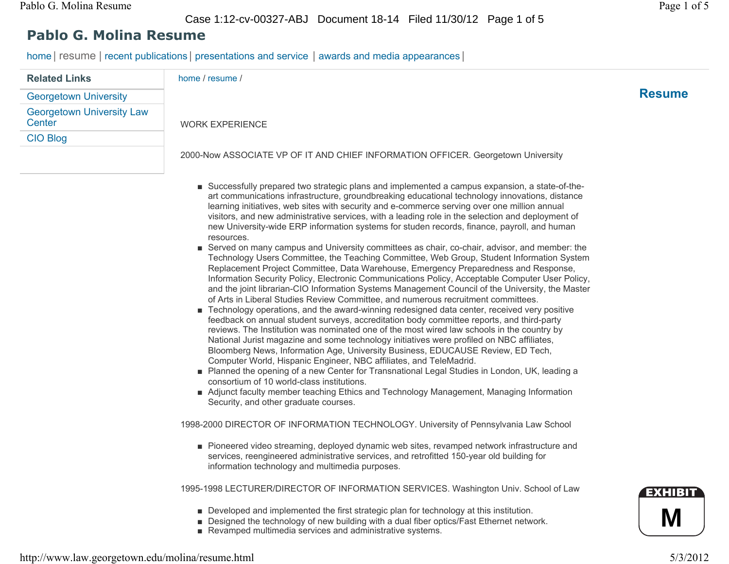Case 1:12-cv-00327-ABJ Document 18-14 Filed 11/30/12 Page 1 of 5

## **Pablo G. Molina Resume**

home | resume | recent publications | presentations and service | awards and media appearances |

| <b>Related Links</b>                       | home / resume /                                                                  |               |
|--------------------------------------------|----------------------------------------------------------------------------------|---------------|
| <b>Georgetown University</b>               |                                                                                  | <b>Resume</b> |
| <b>Georgetown University Law</b><br>Center | <b>WORK EXPERIENCE</b>                                                           |               |
| <b>CIO Blog</b>                            |                                                                                  |               |
|                                            | 2000-Now ASSOCIATE VP OF IT AND CHIEF INFORMATION OFFICER. Georgetown University |               |

- Successfully prepared two strategic plans and implemented a campus expansion, a state-of-theart communications infrastructure, groundbreaking educational technology innovations, distance learning initiatives, web sites with security and e-commerce serving over one million annual visitors, and new administrative services, with a leading role in the selection and deployment of new University-wide ERP information systems for studen records, finance, payroll, and human resources.
- Served on many campus and University committees as chair, co-chair, advisor, and member: the Technology Users Committee, the Teaching Committee, Web Group, Student Information System Replacement Project Committee, Data Warehouse, Emergency Preparedness and Response, Information Security Policy, Electronic Communications Policy, Acceptable Computer User Policy, and the joint librarian-CIO Information Systems Management Council of the University, the Master of Arts in Liberal Studies Review Committee, and numerous recruitment committees.
- Technology operations, and the award-winning redesigned data center, received very positive feedback on annual student surveys, accreditation body committee reports, and third-party reviews. The Institution was nominated one of the most wired law schools in the country by National Jurist magazine and some technology initiatives were profiled on NBC affiliates, Bloomberg News, Information Age, University Business, EDUCAUSE Review, ED Tech, Computer World, Hispanic Engineer, NBC affiliates, and TeleMadrid.
- Planned the opening of a new Center for Transnational Legal Studies in London, UK, leading a consortium of 10 world-class institutions.
- Adjunct faculty member teaching Ethics and Technology Management, Managing Information Security, and other graduate courses.

1998-2000 DIRECTOR OF INFORMATION TECHNOLOGY. University of Pennsylvania Law School

■ Pioneered video streaming, deployed dynamic web sites, revamped network infrastructure and services, reengineered administrative services, and retrofitted 150-year old building for information technology and multimedia purposes.

1995-1998 LECTURER/DIRECTOR OF INFORMATION SERVICES. Washington Univ. School of Law

- Developed and implemented the first strategic plan for technology at this institution.
- Designed the technology of new building with a dual fiber optics/Fast Ethernet network.
- Revamped multimedia services and administrative systems.

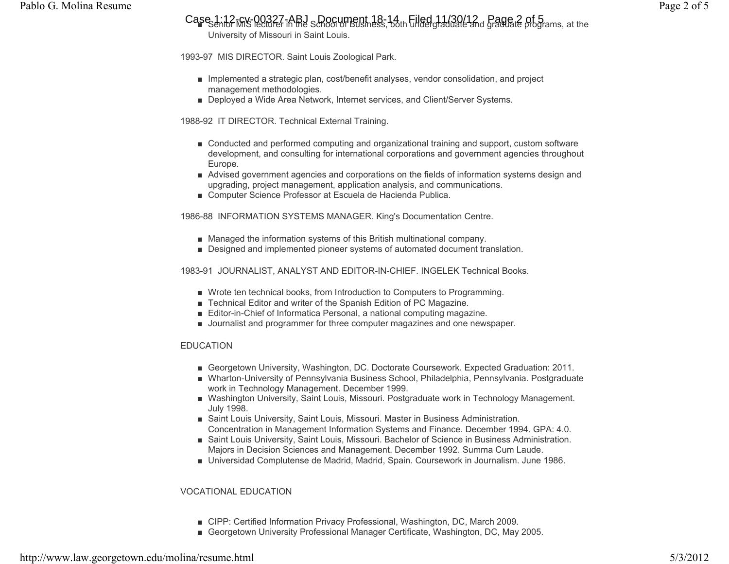Case 1:12-GV-00327-ABJ SDOCument 18-14 L Filed 11/30/12 Page 2 of 5<br>Case 1:12-GV Peturer in the School of Business, both undergraduate and graduate programs, at the University of Missouri in Saint Louis.

1993-97 MIS DIRECTOR. Saint Louis Zoological Park.

- Implemented a strategic plan, cost/benefit analyses, vendor consolidation, and project management methodologies.
- Deployed a Wide Area Network, Internet services, and Client/Server Systems.

1988-92 IT DIRECTOR. Technical External Training.

- Conducted and performed computing and organizational training and support, custom software development, and consulting for international corporations and government agencies throughout Europe.
- Advised government agencies and corporations on the fields of information systems design and upgrading, project management, application analysis, and communications.
- Computer Science Professor at Escuela de Hacienda Publica.

1986-88 INFORMATION SYSTEMS MANAGER. King's Documentation Centre.

- Managed the information systems of this British multinational company.
- Designed and implemented pioneer systems of automated document translation.

1983-91 JOURNALIST, ANALYST AND EDITOR-IN-CHIEF. INGELEK Technical Books.

- Wrote ten technical books, from Introduction to Computers to Programming.
- Technical Editor and writer of the Spanish Edition of PC Magazine.
- Editor-in-Chief of Informatica Personal, a national computing magazine.
- Journalist and programmer for three computer magazines and one newspaper.

#### EDUCATION

- Georgetown University, Washington, DC. Doctorate Coursework. Expected Graduation: 2011.
- Wharton-University of Pennsylvania Business School, Philadelphia, Pennsylvania. Postgraduate work in Technology Management. December 1999.
- Washington University, Saint Louis, Missouri. Postgraduate work in Technology Management. July 1998.
- Saint Louis University, Saint Louis, Missouri. Master in Business Administration. Concentration in Management Information Systems and Finance. December 1994. GPA: 4.0.
- Saint Louis University, Saint Louis, Missouri. Bachelor of Science in Business Administration. Majors in Decision Sciences and Management. December 1992. Summa Cum Laude.
- Universidad Complutense de Madrid, Madrid, Spain. Coursework in Journalism. June 1986.

#### VOCATIONAL EDUCATION

- CIPP: Certified Information Privacy Professional, Washington, DC, March 2009.
- Georgetown University Professional Manager Certificate, Washington, DC, May 2005.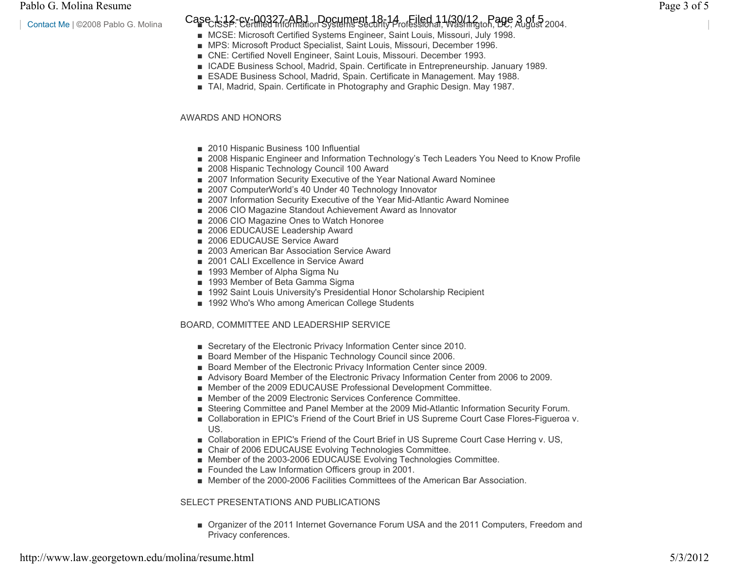Contact Me | ©2008 Pablo G. Molina

## Case 1:12-cv-00327-ABJ Document 18-14 of Filed 11/30/12 r Rage 3 of 5<br>Case 1:35 - Certified Information Systems Security Professional, Washington, DC, August 2004.

- MCSE: Microsoft Certified Systems Engineer, Saint Louis, Missouri, July 1998.
- MPS: Microsoft Product Specialist, Saint Louis, Missouri, December 1996.
- CNE: Certified Novell Engineer, Saint Louis, Missouri. December 1993.
- ICADE Business School, Madrid, Spain. Certificate in Entrepreneurship. January 1989.
- ESADE Business School, Madrid, Spain. Certificate in Management. May 1988.
- TAI, Madrid, Spain. Certificate in Photography and Graphic Design. May 1987.

#### AWARDS AND HONORS

- 2010 Hispanic Business 100 Influential
- 2008 Hispanic Engineer and Information Technology's Tech Leaders You Need to Know Profile
- 2008 Hispanic Technology Council 100 Award
- 2007 Information Security Executive of the Year National Award Nominee
- 2007 ComputerWorld's 40 Under 40 Technology Innovator
- 2007 Information Security Executive of the Year Mid-Atlantic Award Nominee
- 2006 CIO Magazine Standout Achievement Award as Innovator
- 2006 CIO Magazine Ones to Watch Honoree
- 2006 EDUCAUSE Leadership Award
- 2006 EDUCAUSE Service Award
- 2003 American Bar Association Service Award
- 2001 CALI Excellence in Service Award
- 1993 Member of Alpha Sigma Nu
- 1993 Member of Beta Gamma Sigma
- 1992 Saint Louis University's Presidential Honor Scholarship Recipient
- 1992 Who's Who among American College Students

#### BOARD, COMMITTEE AND LEADERSHIP SERVICE

- Secretary of the Electronic Privacy Information Center since 2010.
- Board Member of the Hispanic Technology Council since 2006.
- Board Member of the Electronic Privacy Information Center since 2009.
- Advisory Board Member of the Electronic Privacy Information Center from 2006 to 2009.
- Member of the 2009 EDUCAUSE Professional Development Committee.
- Member of the 2009 Electronic Services Conference Committee.
- Steering Committee and Panel Member at the 2009 Mid-Atlantic Information Security Forum.
- Collaboration in EPIC's Friend of the Court Brief in US Supreme Court Case Flores-Figueroa v. US.
- Collaboration in EPIC's Friend of the Court Brief in US Supreme Court Case Herring v. US,
- Chair of 2006 EDUCAUSE Evolving Technologies Committee.
- Member of the 2003-2006 EDUCAUSE Evolving Technologies Committee.
- Founded the Law Information Officers group in 2001.
- Member of the 2000-2006 Facilities Committees of the American Bar Association.

#### SELECT PRESENTATIONS AND PUBLICATIONS

■ Organizer of the 2011 Internet Governance Forum USA and the 2011 Computers, Freedom and Privacy conferences.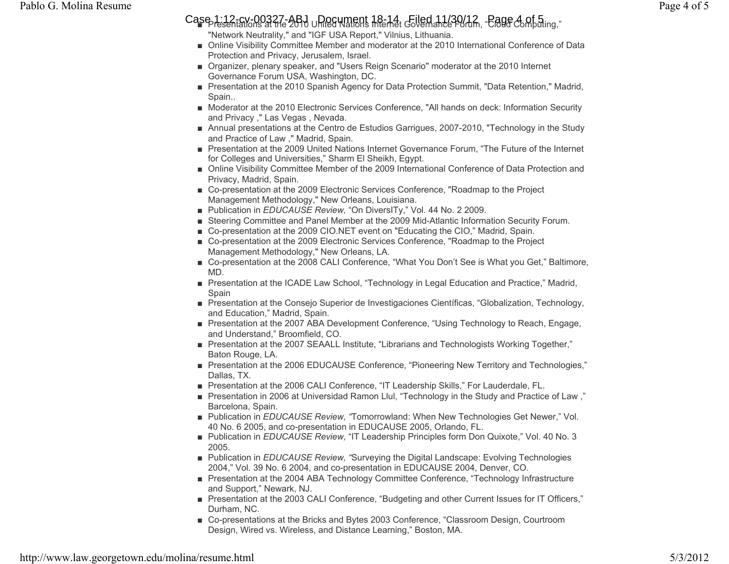# Case 1:12-cv-00327-ABJ <sub>U</sub>Document 18-14, Giled 11/30/12, <sub>"</sub>Cage 4 of 5<br>Presentations at the 2010 United Nations Internet Governance Porum, "Cloud Computing,"

- "Network Neutrality," and "IGF USA Report," Vilnius, Lithuania.
- Online Visibility Committee Member and moderator at the 2010 International Conference of Data Protection and Privacy, Jerusalem, Israel.
- Organizer, plenary speaker, and "Users Reign Scenario" moderator at the 2010 Internet Governance Forum USA, Washington, DC.
- Presentation at the 2010 Spanish Agency for Data Protection Summit, "Data Retention," Madrid, Spain..
- Moderator at the 2010 Electronic Services Conference, "All hands on deck: Information Security and Privacy ," Las Vegas , Nevada.
- Annual presentations at the Centro de Estudios Garrigues, 2007-2010, "Technology in the Study and Practice of Law ," Madrid, Spain.
- Presentation at the 2009 United Nations Internet Governance Forum, "The Future of the Internet for Colleges and Universities," Sharm El Sheikh, Egypt.
- Online Visibility Committee Member of the 2009 International Conference of Data Protection and Privacy, Madrid, Spain.
- Co-presentation at the 2009 Electronic Services Conference, "Roadmap to the Project Management Methodology," New Orleans, Louisiana.
- Publication in *EDUCAUSE Review,* "On DiversITy," Vol. 44 No. 2 2009.
- Steering Committee and Panel Member at the 2009 Mid-Atlantic Information Security Forum.
- Co-presentation at the 2009 CIO.NET event on "Educating the CIO," Madrid, Spain.
- Co-presentation at the 2009 Electronic Services Conference, "Roadmap to the Project Management Methodology," New Orleans, LA.
- Co-presentation at the 2008 CALI Conference, "What You Don't See is What you Get," Baltimore, MD.
- Presentation at the ICADE Law School, "Technology in Legal Education and Practice," Madrid, Spain
- Presentation at the Consejo Superior de Investigaciones Científicas, "Globalization, Technology, and Education," Madrid, Spain.
- Presentation at the 2007 ABA Development Conference, "Using Technology to Reach, Engage, and Understand," Broomfield, CO.
- Presentation at the 2007 SEAALL Institute, "Librarians and Technologists Working Together," Baton Rouge, LA.
- Presentation at the 2006 EDUCAUSE Conference, "Pioneering New Territory and Technologies," Dallas, TX.
- Presentation at the 2006 CALI Conference, "IT Leadership Skills," For Lauderdale, FL.
- Presentation in 2006 at Universidad Ramon Llul, "Technology in the Study and Practice of Law ," Barcelona, Spain.
- Publication in *EDUCAUSE Review, "*Tomorrowland: When New Technologies Get Newer," Vol. 40 No. 6 2005, and co-presentation in EDUCAUSE 2005, Orlando, FL.
- Publication in *EDUCAUSE Review,* "IT Leadership Principles form Don Quixote," Vol. 40 No. 3 2005.
- Publication in *EDUCAUSE Review, "*Surveying the Digital Landscape: Evolving Technologies 2004," Vol. 39 No. 6 2004, and co-presentation in EDUCAUSE 2004, Denver, CO.
- Presentation at the 2004 ABA Technology Committee Conference, "Technology Infrastructure and Support," Newark, NJ.
- Presentation at the 2003 CALI Conference, "Budgeting and other Current Issues for IT Officers," Durham, NC.
- Co-presentations at the Bricks and Bytes 2003 Conference, "Classroom Design, Courtroom Design, Wired vs. Wireless, and Distance Learning," Boston, MA.